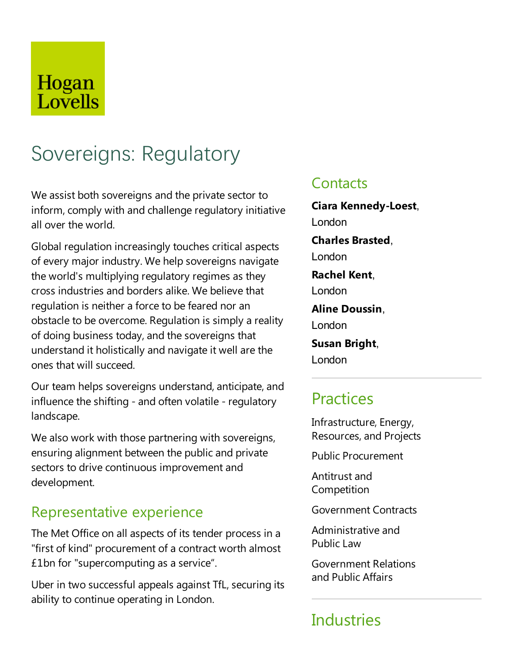## Hogan Lovells

# Sovereigns: Regulatory

We assist both sovereigns and the private sector to inform, comply with and challenge regulatory initiative all over the world.

Global regulation increasingly touches critical aspects of every major industry. We help sovereigns navigate the world's multiplying regulatory regimes as they cross industries and borders alike. We believethat regulation is neither a force to be feared nor an obstacle to be overcome. Regulation is simply a reality of doing business today, and the sovereigns that understand it holistically and navigate it well are the ones that will succeed.

Our team helps sovereigns understand, anticipate, and influence the shifting - and often volatile - regulatory landscape.

We also work with those partnering with sovereigns, ensuring alignment between the public and private sectors to drive continuous improvement and development.

### Representative experience

The Met Office on all aspects of its tender process in a "first of kind" procurement of a contract worth almost £1bn for "supercomputing as aservice".

Uber in two successful appeals against TfL, securing its ability to continue operating in London.

### **Contacts**

**Ciara Kennedy-Loest**, London **Charles Brasted**, London **Rachel Kent**, London **Aline Doussin**, London **Susan Bright**, London

## **Practices**

Infrastructure, Energy, Resources,and Projects

Public Procurement

Antitrust and **Competition** 

Government Contracts

Administrative and Public Law

Government Relations and Public Affairs

## **Industries**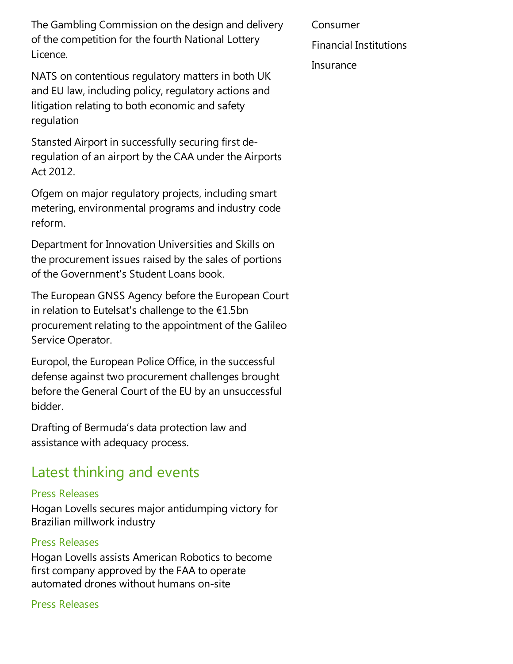The Gambling Commission on the design and delivery of the competition for the fourth National Lottery Licence.

NATS on contentious regulatory matters in both UK and EU law, including policy, regulatory actions and litigation relating to both economic and safety regulation

Stansted Airport in successfully securing first deregulation of an airport by the CAA under the Airports Act 2012.

Ofgem on major regulatory projects, including smart metering,environmental programs and industry code reform.

Department for Innovation Universities and Skills on the procurement issues raised by the sales of portions of the Government's Student Loans book.

The European GNSS Agency before the European Court in relation to Eutelsat's challenge to the  $£1.5$ bn procurement relating to the appointment of the Galileo Service Operator.

Europol, the European Police Office, in the successful defense against two procurement challenges brought before the General Court of the EU by an unsuccessful bidder.

Drafting of Bermuda's data protection law and assistance with adequacy process.

### Latest thinking and events

#### Press Releases

Hogan Lovells secures major antidumping victory for Brazilian millwork industry

#### Press Releases

Hogan Lovells assists American Robotics to become first company approved by the FAA to operate automated drones without humans on-site

#### Press Releases

Consumer

Financial Institutions

**Insurance**